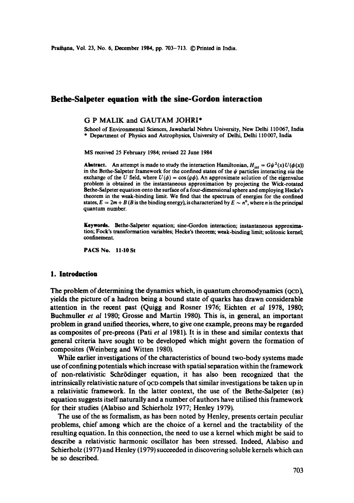# **Bethe-Saipeter equation with the sine-Gordon interaction**

#### G P MALIK and GAUTAM JOHRI\*

School of Environmental Sciences, Jawaharlal Nehru University, New Delhi 110067, India \* Department of Physics and Astrophysics, University of Delhi, Delhi 110007, India

MS received 25 February 1984; revised 22 June 1984

**Abstract.** An attempt is made to study the interaction Hamiltonian,  $H_{int} = G\psi^2(x)U(\phi(x))$ in the Bethe-Salpeter framework for the confined states of the  $\psi$  particles interacting *via* the exchange of the U field, where  $U(\phi) = \cos (g\phi)$ . An approximate solution of the eigenvalue problem is obtained in the instantaneous approximation by projecting the Wick-rotated Bethe-Salpeter equation onto the surface of a four-dimensional sphere and employing Hecke's theorem in the weak-binding limit. We find that the spectrum of energies for the confined states,  $E = 2m + B$  (B is the binding energy), is characterized by  $E \sim n^6$ , where n is the principal quantum number.

Keywords. Bethe-Salpeter equation; sine-Gordon interaction; instantaneous approximation; Fock's transformation variables; Hecke's theorem; weak-binding limit; solitonic kernel; confinement.

PACS No. 11.10 St

#### **1. Introduction**

The problem of determining the dynamics which, in quantum chromodynamics (QCD), yields the picture of a hadron being a bound state of quarks has drawn considerable attention in the recent past (Quigg and Rosner 1976; Eichten *et al* 1978, 1980; Buchmuller *et al* 1980; Grosse and Martin 1980). This is, in general, an important problem in grand unified theories, where, to give one example, preons may be regarded as composites of pre-preons (Pati *et al* 1981). It is in these and similar contexts that general criteria have sought to be developed which might govern the formation of composites (Weinberg and Witten 1980).

While earlier investigations of the characteristics of bound two-body systems made use of confining potentials which increase with spatial separation within the framework of non-relativistic Schr6dinger equation, it has also been recognized that the intrinsically relativistic nature of QCD compels that similar investigations be taken up in a relativistic framework. In the latter context, the use of the Bethe-Salpeter (as) equation suggests itself naturally and a number of authors have utilised this framework for their studies (Alabiso and Schierholz 1977; Henley 1979).

The use of the as formalism, as has been noted by Henley, presents certain peculiar problems, chief among which are the choice of a kernel and the tractability of the resulting equation. In this connection, the need to use a kernel which might be said to describe a relativistic harmonic oscillator has been stressed. Indeed, Alabiso and Schierholz (1977) and Henley (1979) succeeded in discovering soluble kernels which can be so described.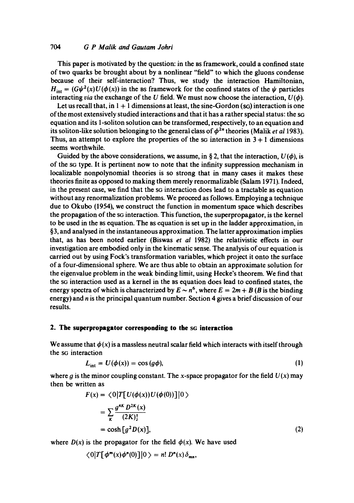## *704 G P Malik and Gautam Johri*

This paper is motivated by the question: in the as framework, could a confined state of two quarks be brought about by a nonlinear "field" to which the gluons condense because of their self-interaction? Thus, we study the interaction Hamiltonian,  $H_{int} = (G\psi^2(x)U(\phi(x))$  in the BS framework for the confined states of the  $\psi$  particles interacting *via* the exchange of the U field. We must now choose the interaction,  $U(\phi)$ .

Let us recall that, in  $1 + 1$  dimensions at least, the sine-Gordon (sq) interaction is one of the most extensively studied interactions and that it has a rather special status: the SG equation and its 1-soliton solution can be transformed, respectively, to an equation and its soliton-like solution belonging to the general class of  $\phi^{2n}$  theories (Malik *et al* 1983). Thus, an attempt to explore the properties of the  $\infty$  interaction in 3 + 1 dimensions seems worthwhile.

Guided by the above considerations, we assume, in § 2, that the interaction,  $U(\phi)$ , is of the SG type. It is pertinent now to note that the infinity suppression mechanism in localizable nonpolynomial theories is so strong that in many cases it makes these theories finite as opposed to making them merely renormalizable (Salam 1971). Indeed, in the present case, we find that the sG interaction does lead to a tractable as equation without any renormalization problems. We proceed as follows. Employing a technique due to Okubo (1954), we construct the function in momentum space which describes the propagation of the SG interaction. This function, the superpropagator, is the kernel to be used in the ns equation. The ns equation is set up in the ladder approximation, in §3, and analysed in the instantaneous approximation. The latter approximation implies that, as has been noted earlier (Biswas *et al* 1982) the relativistic effects in our investigation are embodied only in the kinematic sense. The analysis of our equation is carried out by using Fock's transformation variables, which project it onto the surface of a four-dimensional sphere. We are thus able to obtain an approximate solution for the eigenvalue problem in the weak binding limit, using Hecke's theorem. We find that the SG interaction used as a kernel in the Bs equation does lead to confined states, the energy spectra of which is characterized by  $E \sim n^6$ , where  $E = 2m + B$  (B is the binding energy) and  $n$  is the principal quantum number. Section 4 gives a brief discussion of our results.

## **2. The superpropagator corresponding to the SG interaction**

We assume that  $\phi(x)$  is a massless neutral scalar field which interacts with itself through the sG interaction

$$
L_{\text{int}} = U(\phi(x)) = \cos\left(\frac{g\phi}{},\right) \tag{1}
$$

where q is the minor coupling constant. The x-space propagator for the field  $U(x)$  may then be written as

$$
F(x) = \langle 0|T[U(\phi(x))U(\phi(0))]|0\rangle
$$
  
= 
$$
\sum_{K} \frac{g^{4K} D^{2K}(x)}{(2K)!}
$$
  
= 
$$
\cosh [g^{2} D(x)],
$$
 (2)

where  $D(x)$  is the propagator for the field  $\phi(x)$ . We have used

$$
\langle 0|T[\phi^m(x)\phi^n(0)]|0\rangle = n! D^n(x)\delta_{mn},
$$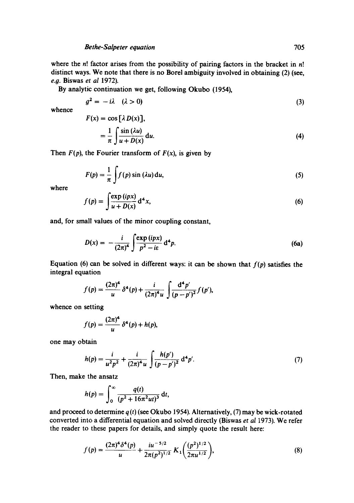where the  $n!$  factor arises from the possibility of pairing factors in the bracket in  $n!$ distinct ways. We note that there is no Borel ambiguity involved in obtaining (2) (see, e.0. Biswas *et al* 1972).

By analytic continuation we get, following Okubo (1954),

$$
g^2 = -i\lambda \quad (\lambda > 0) \tag{3}
$$

whence

$$
F(x) = \cos \left[\lambda D(x)\right],
$$
  
=  $\frac{1}{\pi} \int \frac{\sin (\lambda u)}{u + D(x)} du.$  (4)

Then  $F(p)$ , the Fourier transform of  $F(x)$ , is given by

$$
F(p) = \frac{1}{\pi} \int f(p) \sin(\lambda u) \, \mathrm{d}u,\tag{5}
$$

where

$$
f(p) = \int \frac{\exp(ipx)}{u + D(x)} d^4x,
$$
 (6)

and, for small values of the minor coupling constant,

$$
D(x) = -\frac{i}{(2\pi)^4} \int \frac{\exp(ipx)}{p^2 - ie} d^4p. \tag{6a}
$$

Equation (6) can be solved in different ways: it can be shown that  $f(p)$  satisfies the integral equation

$$
f(p) = \frac{(2\pi)^4}{u} \, \delta^4(p) + \frac{i}{(2\pi)^4 u} \int \frac{d^4 p'}{(p - p')^2} f(p'),
$$

whence on setting

$$
f(p) = \frac{(2\pi)^4}{u} \, \delta^4(p) + h(p),
$$

one may obtain

$$
h(p) = \frac{i}{u^2 p^2} + \frac{i}{(2\pi)^4 u} \int \frac{h(p')}{(p - p')^2} d^4 p'.
$$
 (7)

Then, make the ansatz

$$
h(p) = \int_0^{\infty} \frac{q(t)}{(p^2 + 16\pi^2 ut)^3} dt,
$$

and proceed to determine  $q(t)$  (see Okubo 1954). Alternatively, (7) may be wick-rotated converted into a differential equation and solved directly (Biswas *et al* 1973). We refer the reader to these papers for details, and simply quote the result here:

$$
f(p) = \frac{(2\pi)^4 \delta^4(p)}{u} + \frac{i u^{-5/2}}{2\pi (p^2)^{1/2}} K_1\left(\frac{(p^2)^{1/2}}{2\pi u^{1/2}}\right),
$$
 (8)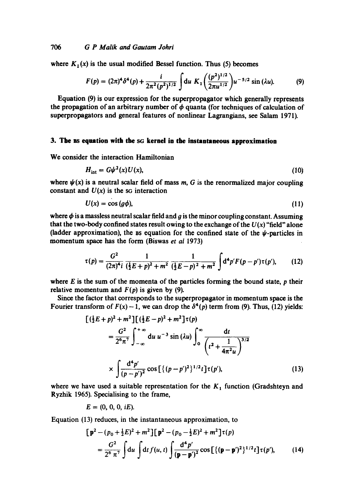where  $K_1(x)$  is the usual modified Bessel function. Thus (5) becomes

$$
F(p) = (2\pi)^4 \delta^4(p) + \frac{i}{2\pi^2 (p^2)^{1/2}} \int du \ K_1 \left(\frac{(p^2)^{1/2}}{2\pi u^{1/2}}\right) u^{-5/2} \sin{(\lambda u)}.
$$
 (9)

Equation (9) is our expression for the superpropagator which generally represents the propagation of an arbitrary number of  $\phi$  quanta (for techniques of calculation of superpropagators and general features of nonlinear Lagrangians, see Salam 1971).

#### **3. The ns equation with the sq kernel in the instantaneous approximation**

We consider the interaction Hamiltonian

$$
H_{\text{int}} = G\psi^2(x)U(x),\tag{10}
$$

where  $\psi(x)$  is a neutral scalar field of mass m, G is the renormalized major coupling constant and  $U(x)$  is the sG interaction

$$
U(x) = \cos\left(\frac{g\phi}{},\right) \tag{11}
$$

where  $\phi$  is a massless neutral scalar field and g is the minor coupling constant. Assuming that the two-body confined states result owing to the exchange of the  $U(x)$  "field" alone (ladder approximation), the BS equation for the confined state of the  $\psi$ -particles in momentum space has the form (Biswas *et al* 1973)

$$
\tau(p) = \frac{G^2}{(2\pi)^4 i} \frac{1}{(\frac{1}{2}E + p)^2 + m^2} \frac{1}{(\frac{1}{2}E - p)^2 + m^2} \int d^4p' F(p - p') \tau(p'), \qquad (12)
$$

where  $E$  is the sum of the momenta of the particles forming the bound state,  $p$  their relative momentum and  $F(p)$  is given by (9).

Since the factor that corresponds to the superpropagator in momentum space is the Fourier transform of  $F(x) - 1$ , we can drop the  $\delta^4(p)$  term from (9). Thus, (12) yields:

$$
\begin{aligned}\n&\left[ (\frac{1}{2}E + p)^2 + m^2 \right] \left[ (\frac{1}{2}E - p)^2 + m^2 \right] \tau(p) \\
&= \frac{G^2}{2^6 \pi^7} \int_{-\infty}^{+\infty} du \, u^{-3} \sin \left( \lambda u \right) \int_0^{\infty} \frac{dt}{\left( t^2 + \frac{1}{4\pi^2 u} \right)^{3/2}} \\
&\times \int \frac{d^4 p'}{(p - p')^2} \cos \left[ \left\{ (p - p')^2 \right\}^{1/2} t \right] \tau(p'),\n\end{aligned} \tag{13}
$$

where we have used a suitable representation for the  $K_1$  function (Gradshteyn and Ryzhik 1965). Specialising to the frame,

 $E = (0, 0, 0, iE).$ 

Equation (13) reduces, in the instantaneous approximation, to

$$
\begin{aligned} \left[\mathbf{p}^2 - (p_0 + \frac{1}{2}E)^2 + m^2\right] \left[\mathbf{p}^2 - (p_0 - \frac{1}{2}E)^2 + m^2\right] \tau(p) \\ &= \frac{G^2}{2^6 \pi^7} \int \mathrm{d}u \int \mathrm{d}t \, f(u, t) \int \frac{\mathrm{d}^4 p'}{(\mathbf{p} - \mathbf{p}')^2} \cos\left[\left\{(\mathbf{p} - \mathbf{p}')^2\right\}^{1/2} t\right] \tau(p'), \end{aligned} \tag{14}
$$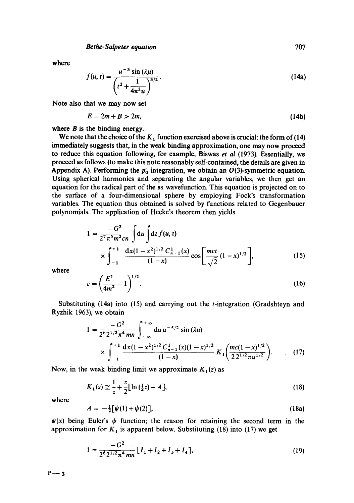where

$$
f(u, t) = \frac{u^{-3} \sin(\lambda \mu)}{\left(t^2 + \frac{1}{4\pi^2 u}\right)^{3/2}}.
$$
 (14a)

Note also that we may now set

$$
E = 2m + B > 2m,\tag{14b}
$$

where  $B$  is the binding energy.

We note that the choice of the  $K_1$  function exercised above is crucial: the form of (14) immediately suggests that, in the weak binding approximation, one may now proceed to reduce this equation following, for example, Biswas *et al* (1973). Essentially, we proceed as follows (to make this note reasonably self-contained, the details are given in Appendix A). Performing the  $p'_0$  integration, we obtain an  $O(3)$ -symmetric equation. Using spherical harmonics and separating the angular variables, we then get an equation for the radical part of the as wavefunction. This equation is projected on to the surface of a four-dimensional sphere by employing Fock's transformation variables. The equation thus obtained is solved by functions related to Gegenbauer polynomials. The application of Hecke's theorem then yields

$$
1 = \frac{-G^2}{2^7 \pi^5 m^2 c n} \int du \int dt f(u, t)
$$
  
 
$$
\times \int_{-1}^{+1} \frac{dx (1 - x^2)^{1/2} C_{n-1}^1(x)}{(1 - x)} \cos \left[ \frac{mct}{\sqrt{2}} (1 - x)^{1/2} \right],
$$
 (15)

where

$$
c = \left(\frac{E^2}{4m^2} - 1\right)^{1/2}.\tag{16}
$$

Substituting  $(14a)$  into  $(15)$  and carrying out the *t*-integration (Gradshteyn and Ryzhik 1963), we obtain

$$
1 = \frac{-G^2}{2^6 2^{1/2} \pi^4 m n} \int_{-\infty}^{+\infty} du \, u^{-5/2} \sin(\lambda u)
$$
  
 
$$
\times \int_{-1}^{+1} \frac{dx (1 - x^2)^{1/2} C_{n-1}^1(x) (1 - x)^{1/2}}{(1 - x)} K_1 \left( \frac{mc (1 - x)^{1/2}}{2 2^{1/2} \pi u^{1/2}} \right). \tag{17}
$$

Now, in the weak binding limit we approximate  $K_1(z)$  as

$$
K_1(z) \simeq \frac{1}{z} + \frac{z}{2} [\ln(\frac{1}{2}z) + A], \tag{18}
$$

where

$$
A = -\frac{1}{2} [\psi(1) + \psi(2)], \qquad (18a)
$$

 $\psi(x)$  being Euler's  $\psi$  function; the reason for retaining the second term in the approximation for  $K_1$  is apparent below. Substituting (18) into (17) we get

$$
1 = \frac{-G^2}{2^6 2^{1/2} \pi^4 \, mn} \left[ I_1 + I_2 + I_3 + I_4 \right],\tag{19}
$$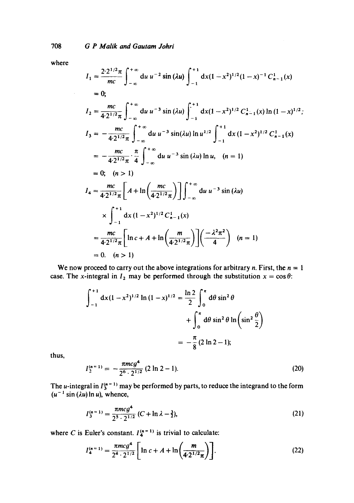where

 $\sim$ 

$$
I_{1} = \frac{2 \cdot 2^{1/2} \pi}{mc} \int_{-\infty}^{+\infty} du \, u^{-2} \sin(\lambda u) \int_{-1}^{+\infty} dx (1 - x^{2})^{1/2} (1 - x)^{-1} C_{n-1}^{1}(x)
$$
  
\n
$$
= 0;
$$
  
\n
$$
I_{2} = \frac{mc}{4 \cdot 2^{1/2} \pi} \int_{-\infty}^{+\infty} du \, u^{-3} \sin(\lambda u) \int_{-1}^{+\infty} dx (1 - x^{2})^{1/2} C_{n-1}^{1}(x) \ln(1 - x)^{1/2};
$$
  
\n
$$
I_{3} = -\frac{mc}{4 \cdot 2^{1/2} \pi} \int_{-\infty}^{+\infty} du \, u^{-3} \sin(\lambda u) \ln u^{1/2} \int_{-1}^{+\infty} dx (1 - x^{2})^{1/2} C_{n-1}^{1}(x)
$$
  
\n
$$
= -\frac{mc}{4 \cdot 2^{1/2} \pi} \cdot \frac{\pi}{4} \int_{-\infty}^{+\infty} du \, u^{-3} \sin(\lambda u) \ln u, \quad (n = 1)
$$
  
\n
$$
= 0; \quad (n > 1)
$$
  
\n
$$
I_{4} = \frac{mc}{4 \cdot 2^{1/2} \pi} \left[ A + \ln \left( \frac{mc}{4 \cdot 2^{1/2} \pi} \right) \right] \int_{-\infty}^{+\infty} du \, u^{-3} \sin(\lambda u)
$$
  
\n
$$
\times \int_{-1}^{+\infty} dx (1 - x^{2})^{1/2} C_{n-1}^{1}(x)
$$
  
\n
$$
= \frac{mc}{4 \cdot 2^{1/2} \pi} \left[ \ln c + A + \ln \left( \frac{m}{4 \cdot 2^{1/2} \pi} \right) \right] \left( \frac{-\lambda^{2} \pi^{2}}{4} \right) \quad (n = 1)
$$
  
\n
$$
= 0, \quad (n > 1)
$$

We now proceed to carry out the above integrations for arbitrary *n*. First, the  $n = 1$ case. The x-integral in  $I_2$  may be performed through the substitution  $x = \cos \theta$ :

$$
\int_{-1}^{+1} dx (1 - x^2)^{1/2} \ln (1 - x)^{1/2} = \frac{\ln 2}{2} \int_{0}^{\pi} d\theta \sin^2 \theta + \int_{0}^{\pi} d\theta \sin^2 \theta \ln \left( \sin^2 \frac{\theta}{2} \right)
$$

$$
= -\frac{\pi}{8} (2 \ln 2 - 1);
$$

thus,

$$
I_2^{(n=1)} = -\frac{\pi m c g^4}{2^6 \cdot 2^{1/2}} (2 \ln 2 - 1).
$$
 (20)

The u-integral in  $I_3^{(n=1)}$  may be performed by parts, to reduce the integrand to the form  $(u^{-1} \sin (\lambda u) \ln u)$ , whence,

$$
I_3^{(n=1)} = \frac{\pi m c g^4}{2^5 \cdot 2^{1/2}} \left( C + \ln \lambda - \frac{3}{2} \right),\tag{21}
$$

where C is Euler's constant.  $I_4^{(n=1)}$  is trivial to calculate:

$$
I_4^{(n=1)} = \frac{\pi m c g^4}{2^4 \cdot 2^{1/2}} \left[ \ln c + A + \ln \left( \frac{m}{4 \cdot 2^{1/2} \pi} \right) \right].
$$
 (22)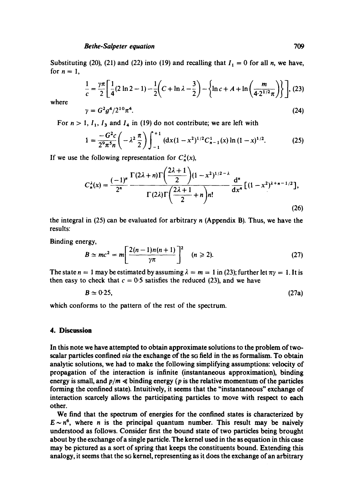Substituting (20), (21) and (22) into (19) and recalling that  $I_1 = 0$  for all n, we have, for  $n = 1$ ,

$$
\frac{1}{c} = \frac{\gamma \pi}{2} \left[ \frac{1}{4} (2 \ln 2 - 1) - \frac{1}{2} \left( C + \ln \lambda - \frac{3}{2} \right) - \left\{ \ln c + A + \ln \left( \frac{m}{4 \cdot 2^{1/2} \pi} \right) \right\} \right], (23)
$$
  

$$
\gamma = G^2 g^4 / 2^{10} \pi^4.
$$
 (24)

where

For 
$$
n > 1
$$
,  $l_1$ ,  $l_3$  and  $l_4$  in (19) do not contribute; we are left with

$$
1 = \frac{-G^2c}{2^9\pi^5n} \left( -\lambda^2 \frac{\pi}{2} \right) \int_{-1}^{+1} \left( dx (1 - x^2)^{1/2} C_{n-1}^1(x) \ln \left( 1 - x \right)^{1/2} \right) \tag{25}
$$

If we use the following representation for  $C_n^{\lambda}(x)$ ,

$$
C_n^{\lambda}(x) = \frac{(-1)^n}{2^n} \frac{\Gamma(2\lambda+n)\Gamma\left(\frac{2\lambda+1}{2}\right)(1-x^2)^{1/2-\lambda}}{\Gamma(2\lambda)\Gamma\left(\frac{2\lambda+1}{2}+n\right)n!} \frac{d^n}{dx^n} [(1-x^2)^{\lambda+n-1/2}],
$$
\n(26)

the integral in (25) can be evaluated for arbitrary n (Appendix B). Thus, we have the results:

Binding energy,

$$
B \simeq mc^2 = m \left[ \frac{2(n-1)n(n+1)}{\gamma \pi} \right]^2 \quad (n \geq 2).
$$
 (27)

The state  $n = 1$  may be estimated by assuming  $\lambda = m = 1$  in (23); further let  $\pi y = 1$ . It is then easy to check that  $c = 0.5$  satisfies the reduced (23), and we have

$$
B \simeq 0.25, \tag{27a}
$$

which conforms to the pattern of the rest of the spectrum.

#### **4. Discussion**

In this note we have attempted to obtain approximate solutions to the problem of twoscalar particles confined *via* the exchange of the sq field in the BS formalism. To obtain analytic solutions, we had to make the following simplifying assumptions: velocity of propagation of the interaction is infinite (instantaneous approximation), binding energy is small, and  $p/m \ll 1$  binding energy (p is the relative momentum of the particles forming the confined state). Intuitively, it seems that the "instantaneous" exchange of interaction scarcely allows the participating particles to move with respect to each other.

We find that the spectrum of energies for the confined states is characterized by  $E \sim n^6$ , where *n* is the principal quantum number. This result may be naively understood as follows. Consider first the bound state of two particles being brought about by the exchange of a single particle. The kernel used in the BS equation in this case may be pictured as a sort of spring that keeps the constituents bound. Extending this analogy, it seems that the sG kernel, representing as it does the exchange of an arbitrary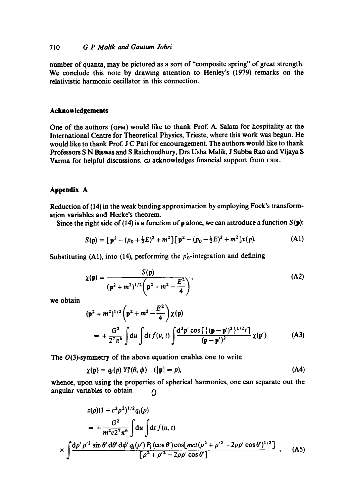## 710 *G P Malik and Gautam Johri*

number of quanta, may be pictured as a sort of "composite spring" of great strength. We conclude this note by drawing attention to Henley's (1979) remarks on the relativistic harmonic oscillator in this connection.

## **Acknowledgements**

One of the authors (6pM) would like to thank Prof. A. Salam for hospitality at the International Centre for Theoretical Physics, Trieste, where this work was begun. He would like to thank Prof. J C Pati for encouragement. The authors would like to thank Professors S N Biswas and S Raichoudhury, Drs Usha Malik, J Subba Rao and Vijaya S Varma for helpful discussions. GJ acknowledges financial support from CSIR.

#### **Appendix A**

Reduction of (14) in the weak binding approximation by employing Fock's transformation variables and Hecke's theorem.

Since the right side of (14) is a function of **p** alone, we can introduce a function  $S(\mathbf{p})$ :

$$
S(\mathbf{p}) = \left[\mathbf{p}^2 - (p_0 + \frac{1}{2}E)^2 + m^2\right] \left[\mathbf{p}^2 - (p_0 - \frac{1}{2}E)^2 + m^2\right] \tau(p). \tag{A1}
$$

Substituting (A1), into (14), performing the  $p'_0$ -integration and defining

$$
\chi(\mathbf{p}) = \frac{S(\mathbf{p})}{(\mathbf{p}^2 + m^2)^{1/2} \left(\mathbf{p}^2 + m^2 - \frac{E^2}{4}\right)},
$$
 (A2)

we obtain

$$
(\mathbf{p}^2 + m^2)^{1/2} \left( \mathbf{p}^2 + m^2 - \frac{E^2}{4} \right) \chi(\mathbf{p})
$$
  
=  $+\frac{G^2}{2^7 \pi^6} \int du \int dt f(u, t) \int \frac{d^3 p' \cos\left[ \{ (\mathbf{p} - \mathbf{p}')^2 \}^{1/2} t \right]}{(\mathbf{p} - \mathbf{p}')^2} \chi(\mathbf{p}').$  (A3)

The  $O(3)$ -symmetry of the above equation enables one to write

$$
\chi(\mathbf{p}) = q_i(p) \; Y_i^{\mu}(\theta, \phi) \quad (|\mathbf{p}| = p), \tag{A4}
$$

whence, upon using the properties of spherical harmonics, one can separate out the angular variables to obtain  $\binom{1}{2}$ 

$$
z(\rho)(1 + c^2 \rho^2)^{1/2} q_i(\rho)
$$
  
=  $+\frac{G^2}{m^2 c 2^7 \pi^6} \int du \int dt f(u, t)$   
 $\times \int \frac{d\rho' \rho'^2 \sin \theta' d\theta' d\phi' q_i(\rho') P_i(\cos \theta') \cos[{\text{mct}}(\rho^2 + \rho'^2 - 2\rho \rho' \cos \theta')^{1/2}]}{[\rho^2 + \rho'^2 - 2\rho \rho' \cos \theta']}$  (A5)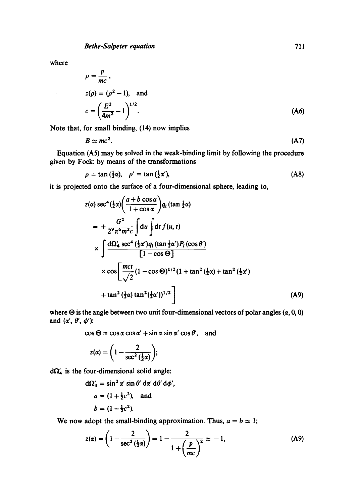where

 $\mathbf{r}$ 

$$
\rho = \frac{p}{mc},
$$
  
\n
$$
z(\rho) = (\rho^2 - 1), \text{ and}
$$
  
\n
$$
c = \left(\frac{E^2}{4m^2} - 1\right)^{1/2}.
$$
 (A6)

Note that, for small binding, (14) now implies

$$
B \simeq mc^2. \tag{A7}
$$

Equation (A5) may be solved in the weak-binding limit by following the procedure given by Fock: by means of the transformations

$$
\rho = \tan(\frac{1}{2}\alpha), \quad \rho' = \tan(\frac{1}{2}\alpha'), \tag{A8}
$$

it is projected onto the surface of a four-dimensional sphere, leading to,  $\mathbf{r}$ 

$$
z(\alpha) \sec^4(\frac{1}{2}\alpha) \left( \frac{a+b \cos \alpha}{1+\cos \alpha} \right) q_i (\tan \frac{1}{2}\alpha)
$$
  
\n
$$
= + \frac{G^2}{2^9 \pi^6 m^2 c} \int d\alpha \int dt f(u, t)
$$
  
\n
$$
\times \int \frac{d\Omega_4' \sec^4(\frac{1}{2}\alpha') q_i (\tan \frac{1}{2}\alpha') P_i(\cos \theta')}{[1-\cos \Theta]}
$$
  
\n
$$
\times \cos \left[ \frac{mct}{\sqrt{2}} (1-\cos \Theta)^{1/2} (1+\tan^2(\frac{1}{2}\alpha)+\tan^2(\frac{1}{2}\alpha')) + \tan^2(\frac{1}{2}\alpha) \tan^2(\frac{1}{2}\alpha'))^{1/2} \right]
$$
(A9)

where  $\Theta$  is the angle between two unit four-dimensional vectors of polar angles  $(\alpha, 0, 0)$ and  $(\alpha', \theta', \phi')$ :

 $\cos \Theta = \cos \alpha \cos \alpha' + \sin \alpha \sin \alpha' \cos \theta'$ , and

$$
z(\alpha) = \left(1 - \frac{2}{\sec^2\left(\frac{1}{2}\alpha\right)}\right);
$$

 $d\Omega'_{4}$  is the four-dimensional solid angle:

$$
d\Omega_4' = \sin^2 \alpha' \sin \theta' \, d\alpha' \, d\theta' \, d\phi',
$$
  
\n
$$
a = (1 + \frac{1}{2}c^2),
$$
 and  
\n
$$
b = (1 - \frac{1}{2}c^2).
$$

We now adopt the small-binding approximation. Thus,  $a = b \approx 1$ ;

$$
z(\alpha) = \left(1 - \frac{2}{\sec^2\left(\frac{1}{2}\alpha\right)}\right) = 1 - \frac{2}{1 + \left(\frac{p}{mc}\right)^2} \approx -1,\tag{A9}
$$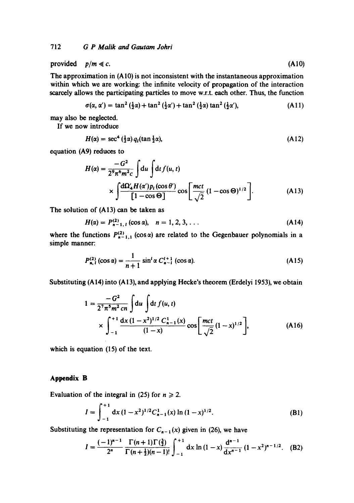provided  $p/m \ll c$ . (A10)

The approximation in (AI0) is not inconsistent with the instantaneous approximation within which we are working: the infinite velocity of propagation of the interaction scarcely allows the participating particles to move w.r.t. each other. Thus, the function

$$
\sigma(\alpha, \alpha') = \tan^2\left(\frac{1}{2}\alpha\right) + \tan^2\left(\frac{1}{2}\alpha'\right) + \tan^2\left(\frac{1}{2}\alpha\right)\tan^2\left(\frac{1}{2}\alpha'\right),\tag{A11}
$$

may also be neglected.

If we now introduce

$$
H(\alpha) = \sec^4(\frac{1}{2}\alpha) q_1(\tan\frac{1}{2}\alpha),\tag{A12}
$$

equation (A9) reduces to

$$
H(\alpha) = \frac{-G^2}{2^9 \pi^6 m^2 c} \int du \int dt f(u, t)
$$
  
 
$$
\times \int \frac{d\Omega'_4 H(\alpha') p_i(\cos \theta')}{[1 - \cos \Theta]} \cos \left[ \frac{mct}{\sqrt{2}} (1 - \cos \Theta)^{1/2} \right].
$$
 (A13)

The solution of (A13) can be taken as

$$
H(\alpha) = P_{n-1, l}^{(2)} (\cos \alpha), \quad n = 1, 2, 3, ... \qquad (A14)
$$

where the functions  $P_{n-1,1}^{(2)}$  (cos  $\alpha$ ) are related to the Gegenbauer polynomials in a simple manner:

$$
P_{n, l}^{(2)}(\cos \alpha) = \frac{1}{n+1} \sin^l \alpha \ C_{n-l}^{l+1} (\cos \alpha). \tag{A15}
$$

Substituting (A 14) into (A 13), and applying Hecke's theorem (Erdelyi 1953), we obtain

$$
1 = \frac{-G^2}{2^7 \pi^5 m^2 c n} \int du \int dt f(u, t)
$$
  
 
$$
\times \int_{-1}^{+1} \frac{dx (1 - x^2)^{1/2} C_{n-1}^1(x)}{(1 - x)} \cos \left[ \frac{mct}{\sqrt{2}} (1 - x)^{1/2} \right],
$$
 (A16)

which is equation (15) of the text.

## **Appendix B**

Evaluation of the integral in (25) for  $n \ge 2$ .

$$
I = \int_{-1}^{+1} dx (1 - x^2)^{1/2} C_{n-1}^1(x) \ln (1 - x)^{1/2}.
$$
 (B1)

Substituting the representation for  $C_{n-1}(x)$  given in (26), we have

$$
I = \frac{(-1)^{n-1}}{2^n} \frac{\Gamma(n+1)\Gamma(\frac{3}{2})}{\Gamma(n+\frac{1}{2})(n-1)!} \int_{-1}^{+1} dx \ln(1-x) \frac{d^{n-1}}{dx^{n-1}} (1-x^2)^{n-1/2}. \quad (B2)
$$